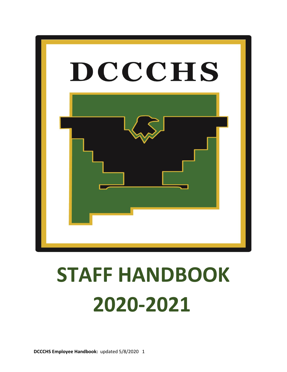

# **STAFF HANDBOOK 2020-2021**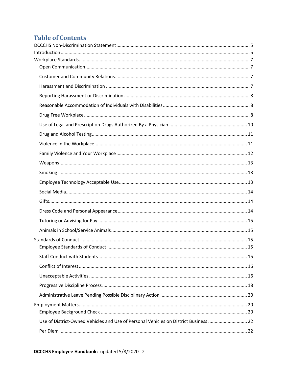### **Table of Contents**

| Use of District-Owned Vehicles and Use of Personal Vehicles on District Business  22 |  |
|--------------------------------------------------------------------------------------|--|
|                                                                                      |  |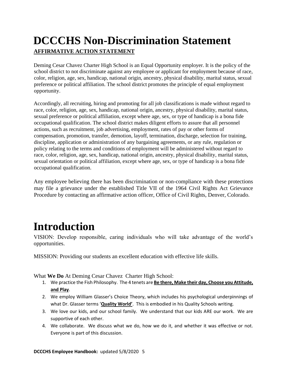### <span id="page-4-0"></span>**DCCCHS Non-Discrimination Statement AFFIRMATIVE ACTION STATEMENT**

Deming Cesar Chavez Charter High School is an Equal Opportunity employer. It is the policy of the school district to not discriminate against any employee or applicant for employment because of race, color, religion, age, sex, handicap, national origin, ancestry, physical disability, marital status, sexual preference or political affiliation. The school district promotes the principle of equal employment opportunity.

Accordingly, all recruiting, hiring and promoting for all job classifications is made without regard to race, color, religion, age, sex, handicap, national origin, ancestry, physical disability, marital status, sexual preference or political affiliation, except where age, sex, or type of handicap is a bona fide occupational qualification. The school district makes diligent efforts to assure that all personnel actions, such as recruitment, job advertising, employment, rates of pay or other forms of compensation, promotion, transfer, demotion, layoff, termination, discharge, selection for training, discipline, application or administration of any bargaining agreements, or any rule, regulation or policy relating to the terms and conditions of employment will be administered without regard to race, color, religion, age, sex, handicap, national origin, ancestry, physical disability, marital status, sexual orientation or political affiliation, except where age, sex, or type of handicap is a bona fide occupational qualification.

Any employee believing there has been discrimination or non-compliance with these protections may file a grievance under the established Title VII of the 1964 Civil Rights Act Grievance Procedure by contacting an affirmative action officer, Office of Civil Rights, Denver, Colorado.

# <span id="page-4-1"></span>**Introduction**

VISION: Develop responsible, caring individuals who will take advantage of the world's opportunities.

MISSION: Providing our students an excellent education with effective life skills.

What **We Do** At Deming Cesar Chavez Charter High School:

- 1. We practice the Fish Philosophy. The 4 tenets are **Be there, Make their day, Choose you Attitude, and Play**.
- 2. We employ William Glasser's Choice Theory, which includes his psychological underpinnings of what Dr. Glasser terms '**Quality World'**. This is embodied in his Quality Schools writing.
- 3. We love our kids, and our school family. We understand that our kids ARE our work. We are supportive of each other.
- 4. We collaborate. We discuss what we do, how we do it, and whether it was effective or not. Everyone is part of this discussion.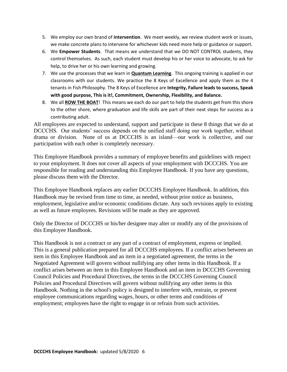- 5. We employ our own brand of **intervention**. We meet weekly, we review student work or issues, we make concrete plans to intervene for whichever kids need more help or guidance or support.
- 6. We **Empower Students**. That means we understand that we DO NOT CONTROL students, they control themselves. As such, each student must develop his or her voice to advocate, to ask for help, to drive her or his own learning and growing.
- 7. We use the processes that we learn in **Quantum Learning**. This ongoing training is applied in our classrooms with our students. We practice the 8 Keys of Excellence and apply them as the 4 tenants in Fish Philosophy. The 8 Keys of Excellence are **Integrity, Failure leads to success, Speak with good purpose, This is it!, Commitment, Ownership, Flexibility, and Balance.**
- 8. We all **ROW THE BOAT**! This means we each do our part to help the students get from this shore to the other shore, where graduation and life skills are part of their next steps for success as a contributing adult.

All employees are expected to understand, support and participate in these 8 things that we do at DCCCHS. Our students' success depends on the unified staff doing our work together, without drama or division. None of us at DCCCHS is an island—our work is collective, and our participation with each other is completely necessary.

This Employee Handbook provides a summary of employee benefits and guidelines with respect to your employment. It does not cover all aspects of your employment with DCCCHS. You are responsible for reading and understanding this Employee Handbook. If you have any questions, please discuss them with the Director.

This Employee Handbook replaces any earlier DCCCHS Employee Handbook. In addition, this Handbook may be revised from time to time, as needed, without prior notice as business, employment, legislative and/or economic conditions dictate. Any such revisions apply to existing as well as future employees. Revisions will be made as they are approved.

Only the Director of DCCCHS or his/her designee may alter or modify any of the provisions of this Employee Handbook.

This Handbook is not a contract or any part of a contract of employment, express or implied. This is a general publication prepared for all DCCCHS employees. If a conflict arises between an item in this Employee Handbook and an item in a negotiated agreement, the terms in the Negotiated Agreement will govern without nullifying any other items in this Handbook. If a conflict arises between an item in this Employee Handbook and an item in DCCCHS Governing Council Policies and Procedural Directives, the terms in the DCCCHS Governing Council Policies and Procedural Directives will govern without nullifying any other items in this Handbook. Nothing in the school's policy is designed to interfere with, restrain, or prevent employee communications regarding wages, hours, or other terms and conditions of employment; employees have the right to engage in or refrain from such activities.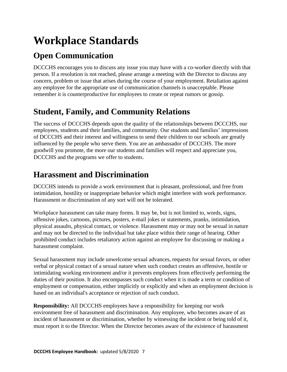# <span id="page-6-0"></span>**Workplace Standards**

### <span id="page-6-1"></span>**Open Communication**

DCCCHS encourages you to discuss any issue you may have with a co-worker directly with that person. If a resolution is not reached, please arrange a meeting with the Director to discuss any concern, problem or issue that arises during the course of your employment. Retaliation against any employee for the appropriate use of communication channels is unacceptable. Please remember it is counterproductive for employees to create or repeat rumors or gossip.

### <span id="page-6-2"></span>**Student, Family, and Community Relations**

The success of DCCCHS depends upon the quality of the relationships between DCCCHS, our employees, students and their families, and community. Our students and families' impressions of DCCCHS and their interest and willingness to send their children to our schools are greatly influenced by the people who serve them. You are an ambassador of DCCCHS. The more goodwill you promote, the more our students and families will respect and appreciate you, DCCCHS and the programs we offer to students.

### <span id="page-6-3"></span>**Harassment and Discrimination**

DCCCHS intends to provide a work environment that is pleasant, professional, and free from intimidation, hostility or inappropriate behavior which might interfere with work performance. Harassment or discrimination of any sort will not be tolerated.

Workplace harassment can take many forms. It may be, but is not limited to, words, signs, offensive jokes, cartoons, pictures, posters, e-mail jokes or statements, pranks, intimidation, physical assaults, physical contact, or violence. Harassment may or may not be sexual in nature and may not be directed to the individual but take place within their range of hearing. Other prohibited conduct includes retaliatory action against an employee for discussing or making a harassment complaint.

Sexual harassment may include unwelcome sexual advances, requests for sexual favors, or other verbal or physical contact of a sexual nature when such conduct creates an offensive, hostile or intimidating working environment and/or it prevents employees from effectively performing the duties of their position. It also encompasses such conduct when it is made a term or condition of employment or compensation, either implicitly or explicitly and when an employment decision is based on an individual's acceptance or rejection of such conduct.

**Responsibility:** All DCCCHS employees have a responsibility for keeping our work environment free of harassment and discrimination. Any employee, who becomes aware of an incident of harassment or discrimination, whether by witnessing the incident or being told of it, must report it to the Director. When the Director becomes aware of the existence of harassment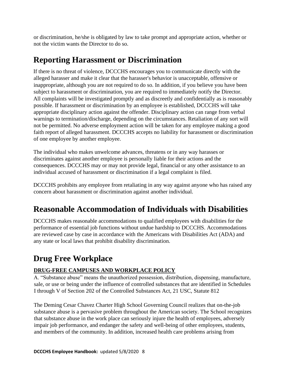or discrimination, he/she is obligated by law to take prompt and appropriate action, whether or not the victim wants the Director to do so.

### <span id="page-7-0"></span>**Reporting Harassment or Discrimination**

If there is no threat of violence, DCCCHS encourages you to communicate directly with the alleged harasser and make it clear that the harasser's behavior is unacceptable, offensive or inappropriate, although you are not required to do so. In addition, if you believe you have been subject to harassment or discrimination, you are required to immediately notify the Director. All complaints will be investigated promptly and as discreetly and confidentially as is reasonably possible. If harassment or discrimination by an employee is established, DCCCHS will take appropriate disciplinary action against the offender. Disciplinary action can range from verbal warnings to termination/discharge, depending on the circumstances. Retaliation of any sort will not be permitted. No adverse employment action will be taken for any employee making a good faith report of alleged harassment. DCCCHS accepts no liability for harassment or discrimination of one employee by another employee.

The individual who makes unwelcome advances, threatens or in any way harasses or discriminates against another employee is personally liable for their actions and the consequences. DCCCHS may or may not provide legal, financial or any other assistance to an individual accused of harassment or discrimination if a legal complaint is filed.

DCCCHS prohibits any employee from retaliating in any way against anyone who has raised any concern about harassment or discrimination against another individual.

### <span id="page-7-1"></span>**Reasonable Accommodation of Individuals with Disabilities**

DCCCHS makes reasonable accommodations to qualified employees with disabilities for the performance of essential job functions without undue hardship to DCCCHS. Accommodations are reviewed case by case in accordance with the Americans with Disabilities Act (ADA) and any state or local laws that prohibit disability discrimination.

### <span id="page-7-2"></span>**Drug Free Workplace**

#### **DRUG-FREE CAMPUSES AND WORKPLACE POLICY**

A. "Substance abuse" means the unauthorized possession, distribution, dispensing, manufacture, sale, or use or being under the influence of controlled substances that are identified in Schedules I through V of Section 202 of the Controlled Substances Act, 21 USC, Statute 812

The Deming Cesar Chavez Charter High School Governing Council realizes that on-the-job substance abuse is a pervasive problem throughout the American society. The School recognizes that substance abuse in the work place can seriously injure the health of employees, adversely impair job performance, and endanger the safety and well-being of other employees, students, and members of the community. In addition, increased health care problems arising from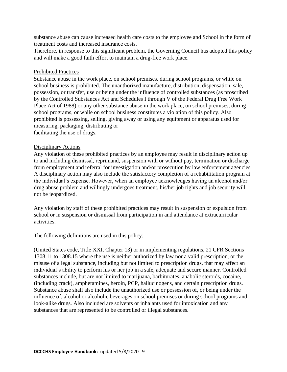substance abuse can cause increased health care costs to the employee and School in the form of treatment costs and increased insurance costs.

Therefore, in response to this significant problem, the Governing Council has adopted this policy and will make a good faith effort to maintain a drug-free work place.

#### Prohibited Practices

Substance abuse in the work place, on school premises, during school programs, or while on school business is prohibited. The unauthorized manufacture, distribution, dispensation, sale, possession, or transfer, use or being under the influence of controlled substances (as proscribed by the Controlled Substances Act and Schedules I through V of the Federal Drug Free Work Place Act of 1988) or any other substance abuse in the work place, on school premises, during school programs, or while on school business constitutes a violation of this policy. Also prohibited is possessing, selling, giving away or using any equipment or apparatus used for measuring, packaging, distributing or facilitating the use of drugs.

#### Disciplinary Actions

Any violation of these prohibited practices by an employee may result in disciplinary action up to and including dismissal, reprimand, suspension with or without pay, termination or discharge from employment and referral for investigation and/or prosecution by law enforcement agencies. A disciplinary action may also include the satisfactory completion of a rehabilitation program at the individual's expense. However, when an employee acknowledges having an alcohol and/or drug abuse problem and willingly undergoes treatment, his/her job rights and job security will not be jeopardized.

Any violation by staff of these prohibited practices may result in suspension or expulsion from school or in suspension or dismissal from participation in and attendance at extracurricular activities.

The following definitions are used in this policy:

(United States code, Title XXI, Chapter 13) or in implementing regulations, 21 CFR Sections 1308.11 to 1308.15 where the use is neither authorized by law nor a valid prescription, or the misuse of a legal substance, including but not limited to prescription drugs, that may affect an individual's ability to perform his or her job in a safe, adequate and secure manner. Controlled substances include, but are not limited to marijuana, barbiturates, anabolic steroids, cocaine, (including crack), amphetamines, heroin, PCP, hallucinogens, and certain prescription drugs. Substance abuse shall also include the unauthorized use or possession of, or being under the influence of, alcohol or alcoholic beverages on school premises or during school programs and look-alike drugs. Also included are solvents or inhalants used for intoxication and any substances that are represented to be controlled or illegal substances.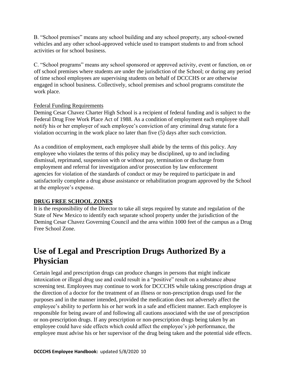B. "School premises" means any school building and any school property, any school-owned vehicles and any other school-approved vehicle used to transport students to and from school activities or for school business.

C. "School programs" means any school sponsored or approved activity, event or function, on or off school premises where students are under the jurisdiction of the School; or during any period of time school employees are supervising students on behalf of DCCCHS or are otherwise engaged in school business. Collectively, school premises and school programs constitute the work place.

#### Federal Funding Requirements

Deming Cesar Chavez Charter High School is a recipient of federal funding and is subject to the Federal Drug Free Work Place Act of 1988. As a condition of employment each employee shall notify his or her employer of such employee's conviction of any criminal drug statute for a violation occurring in the work place no later than five (5) days after such conviction.

As a condition of employment, each employee shall abide by the terms of this policy. Any employee who violates the terms of this policy may be disciplined, up to and including dismissal, reprimand, suspension with or without pay, termination or discharge from employment and referral for investigation and/or prosecution by law enforcement agencies for violation of the standards of conduct or may be required to participate in and satisfactorily complete a drug abuse assistance or rehabilitation program approved by the School at the employee's expense.

#### **DRUG FREE SCHOOL ZONES**

It is the responsibility of the Director to take all steps required by statute and regulation of the State of New Mexico to identify each separate school property under the jurisdiction of the Deming Cesar Chavez Governing Council and the area within 1000 feet of the campus as a Drug Free School Zone.

### <span id="page-9-0"></span>**Use of Legal and Prescription Drugs Authorized By a Physician**

Certain legal and prescription drugs can produce changes in persons that might indicate intoxication or illegal drug use and could result in a "positive" result on a substance abuse screening test. Employees may continue to work for DCCCHS while taking prescription drugs at the direction of a doctor for the treatment of an illness or non-prescription drugs used for the purposes and in the manner intended, provided the medication does not adversely affect the employee's ability to perform his or her work in a safe and efficient manner. Each employee is responsible for being aware of and following all cautions associated with the use of prescription or non-prescription drugs. If any prescription or non-prescription drugs being taken by an employee could have side effects which could affect the employee's job performance, the employee must advise his or her supervisor of the drug being taken and the potential side effects.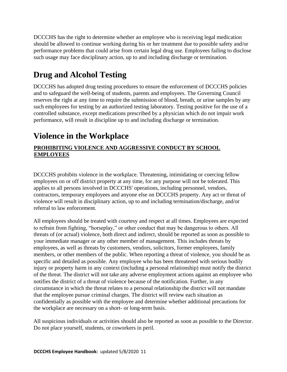DCCCHS has the right to determine whether an employee who is receiving legal medication should be allowed to continue working during his or her treatment due to possible safety and/or performance problems that could arise from certain legal drug use. Employees failing to disclose such usage may face disciplinary action, up to and including discharge or termination.

### <span id="page-10-0"></span>**Drug and Alcohol Testing**

DCCCHS has adopted drug testing procedures to ensure the enforcement of DCCCHS policies and to safeguard the well-being of students, parents and employees. The Governing Council reserves the right at any time to require the submission of blood, breath, or urine samples by any such employees for testing by an authorized testing laboratory. Testing positive for the use of a controlled substance, except medications prescribed by a physician which do not impair work performance, will result in discipline up to and including discharge or termination.

### <span id="page-10-1"></span>**Violence in the Workplace**

#### **PROHIBITING VIOLENCE AND AGGRESSIVE CONDUCT BY SCHOOL EMPLOYEES**

DCCCHS prohibits violence in the workplace. Threatening, intimidating or coercing fellow employees on or off district property at any time, for any purpose will not be tolerated. This applies to all persons involved in DCCCHS' operations, including personnel, vendors, contractors, temporary employees and anyone else on DCCCHS property. Any act or threat of violence will result in disciplinary action, up to and including termination/discharge, and/or referral to law enforcement.

All employees should be treated with courtesy and respect at all times. Employees are expected to refrain from fighting, "horseplay," or other conduct that may be dangerous to others. All threats of (or actual) violence, both direct and indirect, should be reported as soon as possible to your immediate manager or any other member of management. This includes threats by employees, as well as threats by customers, vendors, solicitors, former employees, family members, or other members of the public. When reporting a threat of violence, you should be as specific and detailed as possible. Any employee who has been threatened with serious bodily injury or property harm in any context (including a personal relationship) must notify the district of the threat. The district will not take any adverse employment actions against an employee who notifies the district of a threat of violence because of the notification. Further, in any circumstance in which the threat relates to a personal relationship the district will not mandate that the employee pursue criminal charges. The district will review each situation as confidentially as possible with the employee and determine whether additional precautions for the workplace are necessary on a short- or long-term basis.

All suspicious individuals or activities should also be reported as soon as possible to the Director. Do not place yourself, students, or coworkers in peril.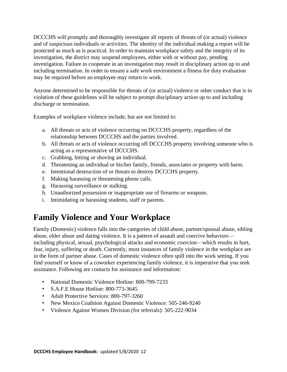DCCCHS will promptly and thoroughly investigate all reports of threats of (or actual) violence and of suspicious individuals or activities. The identity of the individual making a report will be protected as much as is practical. In order to maintain workplace safety and the integrity of its investigation, the district may suspend employees, either with or without pay, pending investigation. Failure to cooperate in an investigation may result in disciplinary action up to and including termination. In order to ensure a safe work environment a fitness for duty evaluation may be required before an employee may return to work.

Anyone determined to be responsible for threats of (or actual) violence or other conduct that is in violation of these guidelines will be subject to prompt disciplinary action up to and including discharge or termination.

Examples of workplace violence include, but are not limited to:

- a. All threats or acts of violence occurring on DCCCHS property, regardless of the relationship between DCCCHS and the parties involved.
- b. All threats or acts of violence occurring off DCCCHS property involving someone who is acting as a representative of DCCCHS.
- c. Grabbing, hitting or shoving an individual.
- d. Threatening an individual or his/her family, friends, associates or property with harm.
- e. Intentional destruction of or threats to destroy DCCCHS property.
- f. Making harassing or threatening phone calls.
- g. Harassing surveillance or stalking.
- h. Unauthorized possession or inappropriate use of firearms or weapons.
- i. Intimidating or harassing students, staff or parents.

### <span id="page-11-0"></span>**Family Violence and Your Workplace**

Family (Domestic) violence falls into the categories of child abuse, partner/spousal abuse, sibling abuse, elder abuse and dating violence. It is a pattern of assault and coercive behaviors including physical, sexual, psychological attacks and economic coercion—which results in hurt, fear, injury, suffering or death. Currently, most instances of family violence in the workplace are in the form of partner abuse. Cases of domestic violence often spill into the work setting. If you find yourself or know of a coworker experiencing family violence, it is imperative that you seek assistance. Following are contacts for assistance and information:

- National Domestic Violence Hotline: 800-799-7233
- S.A.F.E House Hotline: 800-773-3645
- Adult Protective Services: 800-797-3260
- New Mexico Coalition Against Domestic Violence: 505-246-9240
- Violence Against Women Division (for referrals): 505-222-9034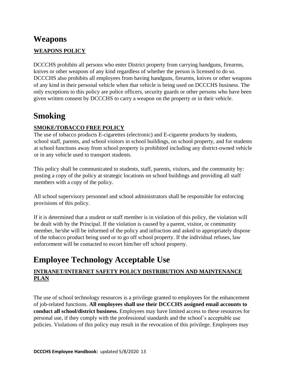### <span id="page-12-0"></span>**Weapons**

#### **WEAPONS POLICY**

DCCCHS prohibits all persons who enter District property from carrying handguns, firearms, knives or other weapons of any kind regardless of whether the person is licensed to do so. DCCCHS also prohibits all employees from having handguns, firearms, knives or other weapons of any kind in their personal vehicle when that vehicle is being used on DCCCHS business. The only exceptions to this policy are police officers, security guards or other persons who have been given written consent by DCCCHS to carry a weapon on the property or in their vehicle.

### <span id="page-12-1"></span>**Smoking**

#### **SMOKE/TOBACCO FREE POLICY**

The use of tobacco products E-cigarettes (electronic) and E-cigarette products by students, school staff, parents, and school visitors in school buildings, on school property, and for students at school functions away from school property is prohibited including any district-owned vehicle or in any vehicle used to transport students.

This policy shall be communicated to students, staff, parents, visitors, and the community by: posting a copy of the policy at strategic locations on school buildings and providing all staff members with a copy of the policy.

All school supervisory personnel and school administrators shall be responsible for enforcing provisions of this policy.

If it is determined that a student or staff member is in violation of this policy, the violation will be dealt with by the Principal. If the violation is caused by a parent, visitor, or community member, he/she will be informed of the policy and infraction and asked to appropriately dispose of the tobacco product being used or to go off school property. If the individual refuses, law enforcement will be contacted to escort him/her off school property.

### <span id="page-12-2"></span>**Employee Technology Acceptable Use**

#### **INTRANET/INTERNET SAFETY POLICY DISTRIBUTION AND MAINTENANCE PLAN**

The use of school technology resources is a privilege granted to employees for the enhancement of job-related functions. **All employees shall use their DCCCHS assigned email accounts to conduct all school/district business.** Employees may have limited access to these resources for personal use, if they comply with the professional standards and the school's acceptable use policies. Violations of this policy may result in the revocation of this privilege. Employees may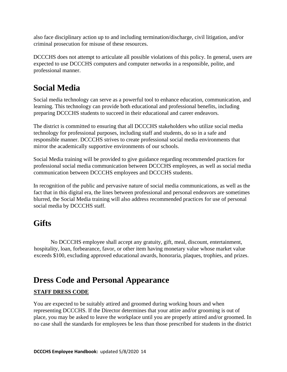also face disciplinary action up to and including termination/discharge, civil litigation, and/or criminal prosecution for misuse of these resources.

DCCCHS does not attempt to articulate all possible violations of this policy. In general, users are expected to use DCCCHS computers and computer networks in a responsible, polite, and professional manner.

### <span id="page-13-0"></span>**Social Media**

Social media technology can serve as a powerful tool to enhance education, communication, and learning. This technology can provide both educational and professional benefits, including preparing DCCCHS students to succeed in their educational and career endeavors.

The district is committed to ensuring that all DCCCHS stakeholders who utilize social media technology for professional purposes, including staff and students, do so in a safe and responsible manner. DCCCHS strives to create professional social media environments that mirror the academically supportive environments of our schools.

Social Media training will be provided to give guidance regarding recommended practices for professional social media communication between DCCCHS employees, as well as social media communication between DCCCHS employees and DCCCHS students.

In recognition of the public and pervasive nature of social media communications, as well as the fact that in this digital era, the lines between professional and personal endeavors are sometimes blurred, the Social Media training will also address recommended practices for use of personal social media by DCCCHS staff.

### <span id="page-13-1"></span>**Gifts**

 No DCCCHS employee shall accept any gratuity, gift, meal, discount, entertainment, hospitality, loan, forbearance, favor, or other item having monetary value whose market value exceeds \$100, excluding approved educational awards, honoraria, plaques, trophies, and prizes.

### <span id="page-13-2"></span>**Dress Code and Personal Appearance**

#### **STAFF DRESS CODE**

You are expected to be suitably attired and groomed during working hours and when representing DCCCHS. If the Director determines that your attire and/or grooming is out of place, you may be asked to leave the workplace until you are properly attired and/or groomed. In no case shall the standards for employees be less than those prescribed for students in the district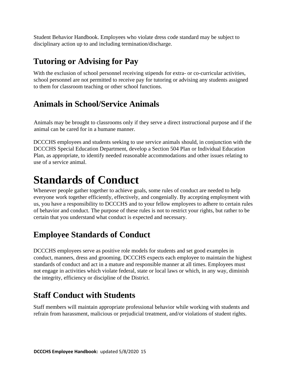Student Behavior Handbook. Employees who violate dress code standard may be subject to disciplinary action up to and including termination/discharge.

### <span id="page-14-0"></span>**Tutoring or Advising for Pay**

With the exclusion of school personnel receiving stipends for extra- or co-curricular activities, school personnel are not permitted to receive pay for tutoring or advising any students assigned to them for classroom teaching or other school functions.

### <span id="page-14-1"></span>**Animals in School/Service Animals**

Animals may be brought to classrooms only if they serve a direct instructional purpose and if the animal can be cared for in a humane manner.

DCCCHS employees and students seeking to use service animals should, in conjunction with the DCCCHS Special Education Department, develop a Section 504 Plan or Individual Education Plan, as appropriate, to identify needed reasonable accommodations and other issues relating to use of a service animal.

# <span id="page-14-2"></span>**Standards of Conduct**

Whenever people gather together to achieve goals, some rules of conduct are needed to help everyone work together efficiently, effectively, and congenially. By accepting employment with us, you have a responsibility to DCCCHS and to your fellow employees to adhere to certain rules of behavior and conduct. The purpose of these rules is not to restrict your rights, but rather to be certain that you understand what conduct is expected and necessary.

### <span id="page-14-3"></span>**Employee Standards of Conduct**

DCCCHS employees serve as positive role models for students and set good examples in conduct, manners, dress and grooming. DCCCHS expects each employee to maintain the highest standards of conduct and act in a mature and responsible manner at all times. Employees must not engage in activities which violate federal, state or local laws or which, in any way, diminish the integrity, efficiency or discipline of the District.

### <span id="page-14-4"></span>**Staff Conduct with Students**

Staff members will maintain appropriate professional behavior while working with students and refrain from harassment, malicious or prejudicial treatment, and/or violations of student rights.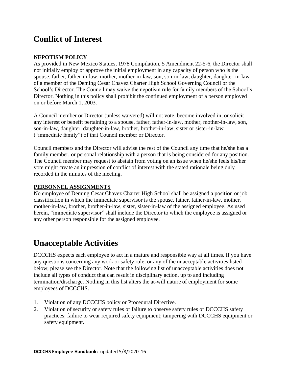### <span id="page-15-0"></span>**Conflict of Interest**

#### **NEPOTISM POLICY**

As provided in New Mexico Statues, 1978 Compilation, 5 Amendment 22-5-6, the Director shall not initially employ or approve the initial employment in any capacity of person who is the spouse, father, father-in-law, mother, mother-in-law, son, son-in-law, daughter, daughter-in-law of a member of the Deming Cesar Chavez Charter High School Governing Council or the School's Director. The Council may waive the nepotism rule for family members of the School's Director. Nothing in this policy shall prohibit the continued employment of a person employed on or before March 1, 2003.

A Council member or Director (unless waivered) will not vote, become involved in, or solicit any interest or benefit pertaining to a spouse, father, father-in-law, mother, mother-in-law, son, son-in-law, daughter, daughter-in-law, brother, brother-in-law, sister or sister-in-law ("immediate family") of that Council member or Director.

Council members and the Director will advise the rest of the Council any time that he/she has a family member, or personal relationship with a person that is being considered for any position. The Council member may request to abstain from voting on an issue when he/she feels his/her vote might create an impression of conflict of interest with the stated rationale being duly recorded in the minutes of the meeting.

#### **PERSONNEL ASSIGNMENTS**

No employee of Deming Cesar Chavez Charter High School shall be assigned a position or job classification in which the immediate supervisor is the spouse, father, father-in-law, mother, mother-in-law, brother, brother-in-law, sister, sister-in-law of the assigned employee. As used herein, "immediate supervisor" shall include the Director to which the employee is assigned or any other person responsible for the assigned employee.

### <span id="page-15-1"></span>**Unacceptable Activities**

DCCCHS expects each employee to act in a mature and responsible way at all times. If you have any questions concerning any work or safety rule, or any of the unacceptable activities listed below, please see the Director. Note that the following list of unacceptable activities does not include all types of conduct that can result in disciplinary action, up to and including termination/discharge. Nothing in this list alters the at-will nature of employment for some employees of DCCCHS.

- 1. Violation of any DCCCHS policy or Procedural Directive.
- 2. Violation of security or safety rules or failure to observe safety rules or DCCCHS safety practices; failure to wear required safety equipment; tampering with DCCCHS equipment or safety equipment.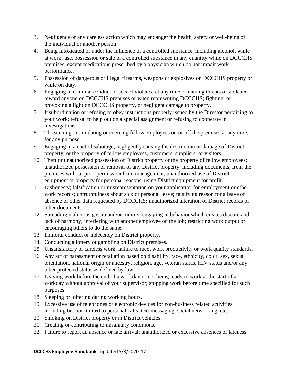- 3. Negligence or any careless action which may endanger the health, safety or well-being of the individual or another person.
- 4. Being intoxicated or under the influence of a controlled substance, including alcohol, while at work; use, possession or sale of a controlled substance in any quantity while on DCCCHS premises, except medications prescribed by a physician which do not impair work performance.
- 5. Possession of dangerous or illegal firearms, weapons or explosives on DCCCHS property or while on duty.
- 6. Engaging in criminal conduct or acts of violence at any time or making threats of violence toward anyone on DCCCHS premises or when representing DCCCHS; fighting, or provoking a fight on DCCCHS property, or negligent damage to property.
- 7. Insubordination or refusing to obey instructions properly issued by the Director pertaining to your work; refusal to help out on a special assignment or refusing to cooperate in investigations.
- 8. Threatening, intimidating or coercing fellow employees on or off the premises at any time, for any purpose.
- 9. Engaging in an act of sabotage; negligently causing the destruction or damage of District property, or the property of fellow employees, customers, suppliers, or visitors..
- 10. Theft or unauthorized possession of District property or the property of fellow employees; unauthorized possession or removal of any District property, including documents, from the premises without prior permission from management; unauthorized use of District equipment or property for personal reasons; using District equipment for profit.
- 11. Dishonesty; falsification or misrepresentation on your application for employment or other work records; untruthfulness about sick or personal leave; falsifying reason for a leave of absence or other data requested by DCCCHS; unauthorized alteration of District records or other documents.
- 12. Spreading malicious gossip and/or rumors; engaging in behavior which creates discord and lack of harmony; interfering with another employee on the job; restricting work output or encouraging others to do the same.
- 13. Immoral conduct or indecency on District property.
- 14. Conducting a lottery or gambling on District premises.
- 15. Unsatisfactory or careless work, failure to meet work productivity or work quality standards.
- 16. Any act of harassment or retaliation based on disability, race, ethnicity, color, sex, sexual orientation, national origin or ancestry, religion, age, veteran status, HIV status and/or any other protected status as defined by law.
- 17. Leaving work before the end of a workday or not being ready to work at the start of a workday without approval of your supervisor; stopping work before time specified for such purposes.
- 18. Sleeping or loitering during working hours.
- 19. Excessive use of telephones or electronic devices for non-business related activities including but not limited to personal calls, text messaging, social networking, etc. .
- 20. Smoking on District property or in District vehicles.
- 21. Creating or contributing to unsanitary conditions.
- 22. Failure to report an absence or late arrival; unauthorized or excessive absences or lateness.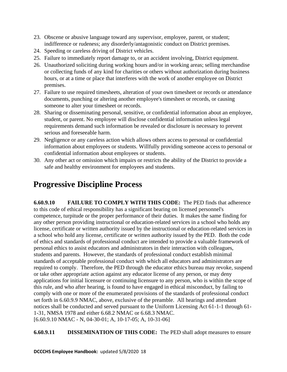- 23. Obscene or abusive language toward any supervisor, employee, parent, or student; indifference or rudeness; any disorderly/antagonistic conduct on District premises.
- 24. Speeding or careless driving of District vehicles.
- 25. Failure to immediately report damage to, or an accident involving, District equipment.
- 26. Unauthorized soliciting during working hours and/or in working areas; selling merchandise or collecting funds of any kind for charities or others without authorization during business hours, or at a time or place that interferes with the work of another employee on District premises.
- 27. Failure to use required timesheets, alteration of your own timesheet or records or attendance documents, punching or altering another employee's timesheet or records, or causing someone to alter your timesheet or records.
- 28. Sharing or disseminating personal, sensitive, or confidential information about an employee, student, or parent. No employee will disclose confidential information unless legal requirements demand such information be revealed or disclosure is necessary to prevent serious and foreseeable harm.
- 29. Negligence or any careless action which allows others access to personal or confidential information about employees or students. Willfully providing someone access to personal or confidential information about employees or students.
- 30. Any other act or omission which impairs or restricts the ability of the District to provide a safe and healthy environment for employees and students.

### <span id="page-17-0"></span>**Progressive Discipline Process**

**6.60.9.10 FAILURE TO COMPLY WITH THIS CODE:** The PED finds that adherence to this code of ethical responsibility has a significant bearing on licensed personnel's competence, turpitude or the proper performance of their duties. It makes the same finding for any other person providing instructional or education-related services in a school who holds any license, certificate or written authority issued by the instructional or education-related services in a school who hold any license, certificate or written authority issued by the PED. Both the code of ethics and standards of professional conduct are intended to provide a valuable framework of personal ethics to assist educators and administrators in their interaction with colleagues, students and parents. However, the standards of professional conduct establish minimal standards of acceptable professional conduct with which all educators and administrators are required to comply. Therefore, the PED through the educator ethics bureau may revoke, suspend or take other appropriate action against any educator license of any person, or may deny applications for initial licensure or continuing licensure to any person, who is within the scope of this rule, and who after hearing, is found to have engaged in ethical misconduct, by failing to comply with one or more of the enumerated provisions of the standards of professional conduct set forth in 6.60.9.9 NMAC, above, exclusive of the preamble. All hearings and attendant notices shall be conducted and served pursuant to the Uniform Licensing Act 61-1-1 through 61- 1-31, NMSA 1978 and either 6.68.2 NMAC or 6.68.3 NMAC. [6.60.9.10 NMAC - N, 04-30-01; A, 10-17-05; A, 10-31-06]

**6.60.9.11 DISSEMINATION OF THIS CODE:** The PED shall adopt measures to ensure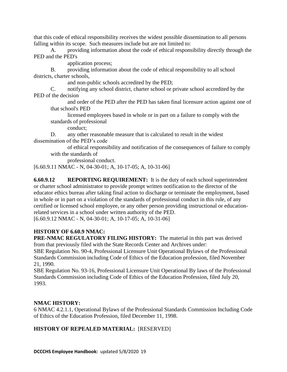that this code of ethical responsibility receives the widest possible dissemination to all persons falling within its scope. Such measures include but are not limited to:

A. providing information about the code of ethical responsibility directly through the PED and the PED's

application process;

B. providing information about the code of ethical responsibility to all school districts, charter schools,

and non-public schools accredited by the PED;

C. notifying any school district, charter school or private school accredited by the PED of the decision

and order of the PED after the PED has taken final licensure action against one of that school's PED

licensed employees based in whole or in part on a failure to comply with the standards of professional

conduct;

D. any other reasonable measure that is calculated to result in the widest dissemination of the PED's code

of ethical responsibility and notification of the consequences of failure to comply with the standards of

professional conduct.

[6.60.9.11 NMAC - N, 04-30-01; A, 10-17-05; A, 10-31-06]

**6.60.9.12 REPORTING REQUIREMENT:** It is the duty of each school superintendent or charter school administrator to provide prompt written notification to the director of the educator ethics bureau after taking final action to discharge or terminate the employment, based in whole or in part on a violation of the standards of professional conduct in this rule, of any certified or licensed school employee, or any other person providing instructional or educationrelated services in a school under written authority of the PED. [6.60.9.12 NMAC - N, 04-30-01; A, 10-17-05; A, 10-31-06]

**HISTORY OF 6.60.9 NMAC:**

**PRE-NMAC REGULATORY FILING HISTORY:** The material in this part was derived from that previously filed with the State Records Center and Archives under:

SBE Regulation No. 90-4, Professional Licensure Unit Operational Bylaws of the Professional Standards Commission including Code of Ethics of the Education profession, filed November 21, 1990.

SBE Regulation No. 93-16, Professional Licensure Unit Operational By laws of the Professional Standards Commission including Code of Ethics of the Education Profession, filed July 20, 1993.

#### **NMAC HISTORY:**

6 NMAC 4.2.1.1, Operational Bylaws of the Professional Standards Commission Including Code of Ethics of the Education Profession, filed December 11, 1998.

#### **HISTORY OF REPEALED MATERIAL:** [RESERVED]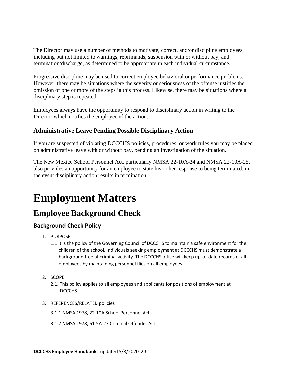The Director may use a number of methods to motivate, correct, and/or discipline employees, including but not limited to warnings, reprimands, suspension with or without pay, and termination/discharge, as determined to be appropriate in each individual circumstance.

Progressive discipline may be used to correct employee behavioral or performance problems. However, there may be situations where the severity or seriousness of the offense justifies the omission of one or more of the steps in this process. Likewise, there may be situations where a disciplinary step is repeated.

Employees always have the opportunity to respond to disciplinary action in writing to the Director which notifies the employee of the action.

#### <span id="page-19-0"></span>**Administrative Leave Pending Possible Disciplinary Action**

If you are suspected of violating DCCCHS policies, procedures, or work rules you may be placed on administrative leave with or without pay, pending an investigation of the situation.

The New Mexico School Personnel Act, particularly NMSA 22-10A-24 and NMSA 22-10A-25, also provides an opportunity for an employee to state his or her response to being terminated, in the event disciplinary action results in termination.

# <span id="page-19-1"></span>**Employment Matters**

### <span id="page-19-2"></span>**Employee Background Check**

#### **Background Check Policy**

- 1. PURPOSE
	- 1.1 It is the policy of the Governing Council of DCCCHS to maintain a safe environment for the children of the school. Individuals seeking employment at DCCCHS must demonstrate a background free of criminal activity. The DCCCHS office will keep up-to-date records of all employees by maintaining personnel flies on all employees.
- 2. SCOPE
	- 2.1. This policy applies to all employees and applicants for positions of employment at DCCCHS.
- 3. REFERENCES/RELATED policies
	- 3.1.1 NMSA 1978, 22-10A School Personnel Act
	- 3.1.2 NMSA 1978, 61-5A-27 Criminal Offender Act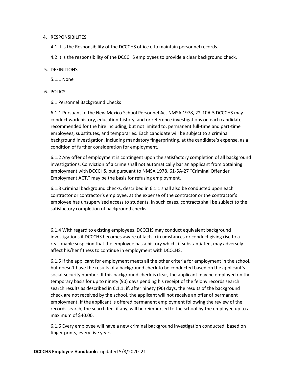#### 4. RESPONSIBILITES

4.1 It is the Responsibility of the DCCCHS office e to maintain personnel records.

4.2 It is the responsibility of the DCCCHS employees to provide a clear background check.

#### 5. DEFINITIONS

5.1.1 None

6. POLICY

6.1 Personnel Background Checks

6.1.1 Pursuant to the New Mexico School Personnel Act NMSA 1978, 22-10A-5 DCCCHS may conduct work history, education-history, and or reference investigations on each candidate recommended for the hire including, but not limited to, permanent full-time and part-time employees, substitutes, and temporaries. Each candidate will be subject to a criminal background investigation, including mandatory fingerprinting, at the candidate's expense, as a condition of further consideration for employment.

6.1.2 Any offer of employment is contingent upon the satisfactory completion of all background investigations. Conviction of a crime shall not automatically bar an applicant from obtaining employment with DCCCHS, but pursuant to NMSA 1978, 61-5A-27 "Criminal Offender Employment ACT," may be the basis for refusing employment.

6.1.3 Criminal background checks, described in 6.1.1 shall also be conducted upon each contractor or contractor's employee, at the expense of the contractor or the contractor's employee has unsupervised access to students. In such cases, contracts shall be subject to the satisfactory completion of background checks.

6.1.4 With regard to existing employees, DCCCHS may conduct equivalent background investigations if DCCCHS becomes aware of facts, circumstances or conduct giving rise to a reasonable suspicion that the employee has a history which, if substantiated, may adversely affect his/her fitness to continue in employment with DCCCHS.

6.1.5 If the applicant for employment meets all the other criteria for employment in the school, but doesn't have the results of a background check to be conducted based on the applicant's social-security number. If this background check is clear, the applicant may be employed on the temporary basis for up to ninety (90) days pending his receipt of the felony records search search results as described in 6.1.1. if, after ninety (90) days, the results of the background check are not received by the school, the applicant will not receive an offer of permanent employment. If the applicant is offered permanent employment following the review of the records search, the search fee, if any, will be reimbursed to the school by the employee up to a maximum of \$40.00.

6.1.6 Every employee will have a new criminal background investigation conducted, based on finger prints, every five years.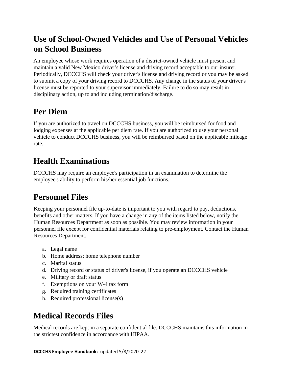### <span id="page-21-0"></span>**Use of School-Owned Vehicles and Use of Personal Vehicles on School Business**

An employee whose work requires operation of a district-owned vehicle must present and maintain a valid New Mexico driver's license and driving record acceptable to our insurer. Periodically, DCCCHS will check your driver's license and driving record or you may be asked to submit a copy of your driving record to DCCCHS. Any change in the status of your driver's license must be reported to your supervisor immediately. Failure to do so may result in disciplinary action, up to and including termination/discharge.

### <span id="page-21-1"></span>**Per Diem**

If you are authorized to travel on DCCCHS business, you will be reimbursed for food and lodging expenses at the applicable per diem rate. If you are authorized to use your personal vehicle to conduct DCCCHS business, you will be reimbursed based on the applicable mileage rate.

### <span id="page-21-2"></span>**Health Examinations**

DCCCHS may require an employee's participation in an examination to determine the employee's ability to perform his/her essential job functions.

### <span id="page-21-3"></span>**Personnel Files**

Keeping your personnel file up-to-date is important to you with regard to pay, deductions, benefits and other matters. If you have a change in any of the items listed below, notify the Human Resources Department as soon as possible. You may review information in your personnel file except for confidential materials relating to pre-employment. Contact the Human Resources Department.

- a. Legal name
- b. Home address; home telephone number
- c. Marital status
- d. Driving record or status of driver's license, if you operate an DCCCHS vehicle
- e. Military or draft status
- f. Exemptions on your W-4 tax form
- g. Required training certificates
- h. Required professional license(s)

### <span id="page-21-4"></span>**Medical Records Files**

Medical records are kept in a separate confidential file. DCCCHS maintains this information in the strictest confidence in accordance with HIPAA.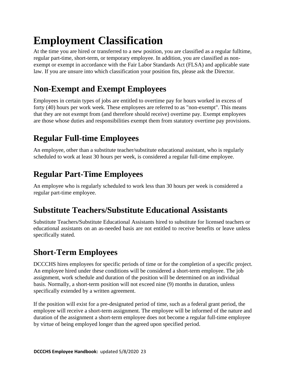# <span id="page-22-0"></span>**Employment Classification**

At the time you are hired or transferred to a new position, you are classified as a regular fulltime, regular part-time, short-term, or temporary employee. In addition, you are classified as nonexempt or exempt in accordance with the Fair Labor Standards Act (FLSA) and applicable state law. If you are unsure into which classification your position fits, please ask the Director.

### <span id="page-22-1"></span>**Non-Exempt and Exempt Employees**

Employees in certain types of jobs are entitled to overtime pay for hours worked in excess of forty (40) hours per work week. These employees are referred to as "non-exempt". This means that they are not exempt from (and therefore should receive) overtime pay. Exempt employees are those whose duties and responsibilities exempt them from statutory overtime pay provisions.

### <span id="page-22-2"></span>**Regular Full-time Employees**

An employee, other than a substitute teacher/substitute educational assistant, who is regularly scheduled to work at least 30 hours per week, is considered a regular full-time employee.

### <span id="page-22-3"></span>**Regular Part-Time Employees**

An employee who is regularly scheduled to work less than 30 hours per week is considered a regular part-time employee.

### <span id="page-22-4"></span>**Substitute Teachers/Substitute Educational Assistants**

Substitute Teachers/Substitute Educational Assistants hired to substitute for licensed teachers or educational assistants on an as-needed basis are not entitled to receive benefits or leave unless specifically stated.

### <span id="page-22-5"></span>**Short-Term Employees**

DCCCHS hires employees for specific periods of time or for the completion of a specific project. An employee hired under these conditions will be considered a short-term employee. The job assignment, work schedule and duration of the position will be determined on an individual basis. Normally, a short-term position will not exceed nine (9) months in duration, unless specifically extended by a written agreement.

If the position will exist for a pre-designated period of time, such as a federal grant period, the employee will receive a short-term assignment. The employee will be informed of the nature and duration of the assignment a short-term employee does not become a regular full-time employee by virtue of being employed longer than the agreed upon specified period.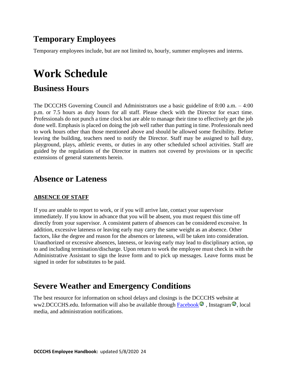### <span id="page-23-0"></span>**Temporary Employees**

Temporary employees include, but are not limited to, hourly, summer employees and interns.

# <span id="page-23-1"></span>**Work Schedule**

### <span id="page-23-2"></span>**Business Hours**

The DCCCHS Governing Council and Administrators use a basic guideline of 8:00 a.m. – 4:00 p.m. or 7.5 hours as duty hours for all staff. Please check with the Director for exact time. Professionals do not punch a time clock but are able to manage their time to effectively get the job done well. Emphasis is placed on doing the job well rather than putting in time. Professionals need to work hours other than those mentioned above and should be allowed some flexibility. Before leaving the building, teachers need to notify the Director. Staff may be assigned to hall duty, playground, plays, athletic events, or duties in any other scheduled school activities. Staff are guided by the regulations of the Director in matters not covered by provisions or in specific extensions of general statements herein.

### <span id="page-23-3"></span>**Absence or Lateness**

#### **ABSENCE OF STAFF**

If you are unable to report to work, or if you will arrive late, contact your supervisor immediately. If you know in advance that you will be absent, you must request this time off directly from your supervisor. A consistent pattern of absences can be considered excessive. In addition, excessive lateness or leaving early may carry the same weight as an absence. Other factors, like the degree and reason for the absences or lateness, will be taken into consideration. Unauthorized or excessive absences, lateness, or leaving early may lead to disciplinary action, up to and including termination/discharge. Upon return to work the employee must check in with the Administrative Assistant to sign the leave form and to pick up messages. Leave forms must be signed in order for substitutes to be paid.

### <span id="page-23-4"></span>**Severe Weather and Emergency Conditions**

The best resource for information on school delays and closings is the DCCCHS website at ww2.DCCCHS.edu. Information will also be available through Facebook  $\bullet$ , Instagram  $\bullet$ , local media, and administration notifications.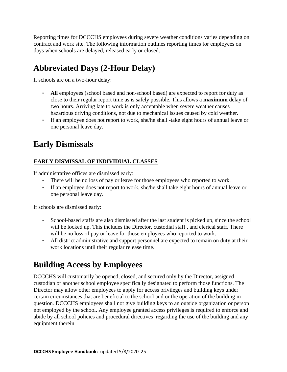Reporting times for DCCCHS employees during severe weather conditions varies depending on contract and work site. The following information outlines reporting times for employees on days when schools are delayed, released early or closed.

### <span id="page-24-0"></span>**Abbreviated Days (2-Hour Delay)**

If schools are on a two-hour delay:

- All employees (school based and non-school based) are expected to report for duty as close to their regular report time as is safely possible. This allows a **maximum** delay of two hours. Arriving late to work is only acceptable when severe weather causes hazardous driving conditions, not due to mechanical issues caused by cold weather.
- If an employee does not report to work, she/he shall -take eight hours of annual leave or one personal leave day.

### <span id="page-24-1"></span>**Early Dismissals**

#### **EARLY DISMISSAL OF INDIVIDUAL CLASSES**

If administrative offices are dismissed early:

- There will be no loss of pay or leave for those employees who reported to work.
- If an employee does not report to work, she/he shall take eight hours of annual leave or one personal leave day.

If schools are dismissed early:

- School-based staffs are also dismissed after the last student is picked up, since the school will be locked up. This includes the Director, custodial staff , and clerical staff. There will be no loss of pay or leave for those employees who reported to work.
- All district administrative and support personnel are expected to remain on duty at their work locations until their regular release time.

### <span id="page-24-2"></span>**Building Access by Employees**

DCCCHS will customarily be opened, closed, and secured only by the Director, assigned custodian or another school employee specifically designated to perform those functions. The Director may allow other employees to apply for access privileges and building keys under certain circumstances that are beneficial to the school and or the operation of the building in question. DCCCHS employees shall not give building keys to an outside organization or person not employed by the school. Any employee granted access privileges is required to enforce and abide by all school policies and procedural directives regarding the use of the building and any equipment therein.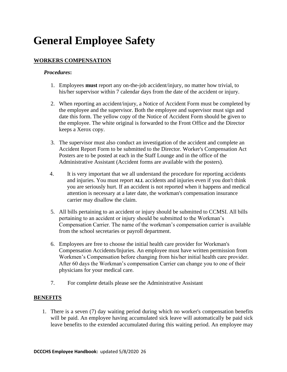# <span id="page-25-0"></span>**General Employee Safety**

#### **WORKERS COMPENSATION**

#### *Procedures***:**

- 1. Employees **must** report any on-the-job accident/injury, no matter how trivial, to his/her supervisor within 7 calendar days from the date of the accident or injury.
- 2. When reporting an accident/injury, a Notice of Accident Form must be completed by the employee and the supervisor. Both the employee and supervisor must sign and date this form. The yellow copy of the Notice of Accident Form should be given to the employee. The white original is forwarded to the Front Office and the Director keeps a Xerox copy.
- 3. The supervisor must also conduct an investigation of the accident and complete an Accident Report Form to be submitted to the Director. Worker's Compensation Act Posters are to be posted at each in the Staff Lounge and in the office of the Administrative Assistant (Accident forms are available with the posters).
- 4. It is very important that we all understand the procedure for reporting accidents and injuries. You must report **ALL** accidents and injuries even if you don't think you are seriously hurt. If an accident is not reported when it happens and medical attention is necessary at a later date, the workman's compensation insurance carrier may disallow the claim.
- 5. All bills pertaining to an accident or injury should be submitted to CCMSI. All bills pertaining to an accident or injury should be submitted to the Workman's Compensation Carrier. The name of the workman's compensation carrier is available from the school secretaries or payroll department.
- 6. Employees are free to choose the initial health care provider for Workman's Compensation Accidents/Injuries. An employee must have written permission from Workmen's Compensation before changing from his/her initial health care provider. After 60 days the Workman's compensation Carrier can change you to one of their physicians for your medical care.
- 7. For complete details please see the Administrative Assistant

#### **BENEFITS**

1. There is a seven (7) day waiting period during which no worker's compensation benefits will be paid. An employee having accumulated sick leave will automatically be paid sick leave benefits to the extended accumulated during this waiting period. An employee may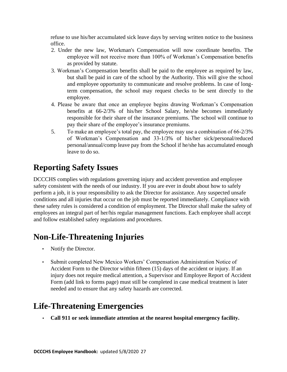refuse to use his/her accumulated sick leave days by serving written notice to the business office.

- 2. Under the new law, Workman's Compensation will now coordinate benefits. The employee will not receive more than 100% of Workman's Compensation benefits as provided by statute.
- 3. Workman's Compensation benefits shall be paid to the employee as required by law, but shall be paid in care of the school by the Authority. This will give the school and employee opportunity to communicate and resolve problems. In case of longterm compensation, the school may request checks to be sent directly to the employee.
- 4. Please be aware that once an employee begins drawing Workman's Compensation benefits at 66-2/3% of his/her School Salary, he/she becomes immediately responsible for their share of the insurance premiums. The school will continue to pay their share of the employee's insurance premiums.
- 5. To make an employee's total pay, the employee may use a combination of 66-2/3% of Workman's Compensation and 33-1/3% of his/her sick/personal/reduced personal/annual/comp leave pay from the School if he/she has accumulated enough leave to do so.

### <span id="page-26-0"></span>**Reporting Safety Issues**

DCCCHS complies with regulations governing injury and accident prevention and employee safety consistent with the needs of our industry. If you are ever in doubt about how to safely perform a job, it is your responsibility to ask the Director for assistance. Any suspected unsafe conditions and all injuries that occur on the job must be reported immediately. Compliance with these safety rules is considered a condition of employment. The Director shall make the safety of employees an integral part of her/his regular management functions. Each employee shall accept and follow established safety regulations and procedures.

### <span id="page-26-1"></span>**Non-Life-Threatening Injuries**

- Notify the Director.
- Submit completed New Mexico Workers' Compensation Administration Notice of Accident Form to the Director within fifteen (15) days of the accident or injury. If an injury does not require medical attention, a Supervisor and Employee Report of Accident Form (add link to forms page) must still be completed in case medical treatment is later needed and to ensure that any safety hazards are corrected.

### <span id="page-26-2"></span>**Life-Threatening Emergencies**

• **Call 911 or seek immediate attention at the nearest hospital emergency facility.**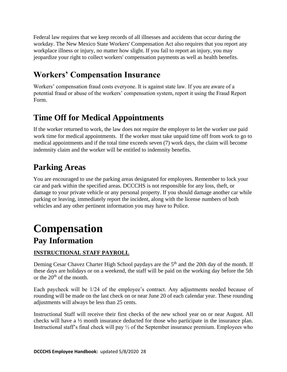Federal law requires that we keep records of all illnesses and accidents that occur during the workday. The New Mexico State Workers' Compensation Act also requires that you report any workplace illness or injury, no matter how slight. If you fail to report an injury, you may jeopardize your right to collect workers' compensation payments as well as health benefits.

### <span id="page-27-0"></span>**Workers' Compensation Insurance**

Workers' compensation fraud costs everyone. It is against state law. If you are aware of a potential fraud or abuse of the workers' compensation system, report it using the Fraud Report Form.

### <span id="page-27-1"></span>**Time Off for Medical Appointments**

If the worker returned to work, the law does not require the employer to let the worker use paid work time for medical appointments. If the worker must take unpaid time off from work to go to medical appointments and if the total time exceeds seven (7) work days, the claim will become indemnity claim and the worker will be entitled to indemnity benefits.

### <span id="page-27-2"></span>**Parking Areas**

You are encouraged to use the parking areas designated for employees. Remember to lock your car and park within the specified areas. DCCCHS is not responsible for any loss, theft, or damage to your private vehicle or any personal property. If you should damage another car while parking or leaving, immediately report the incident, along with the license numbers of both vehicles and any other pertinent information you may have to Police.

### <span id="page-27-3"></span>**Compensation Pay Information**

#### <span id="page-27-4"></span>**INSTRUCTIONAL STAFF PAYROLL**

Deming Cesar Chavez Charter High School paydays are the 5<sup>th</sup> and the 20th day of the month. If these days are holidays or on a weekend, the staff will be paid on the working day before the 5th or the  $20<sup>th</sup>$  of the month.

Each paycheck will be 1/24 of the employee's contract. Any adjustments needed because of rounding will be made on the last check on or near June 20 of each calendar year. These rounding adjustments will always be less than 25 cents.

Instructional Staff will receive their first checks of the new school year on or near August. All checks will have a ½ month insurance deducted for those who participate in the insurance plan. Instructional staff's final check will pay ½ of the September insurance premium. Employees who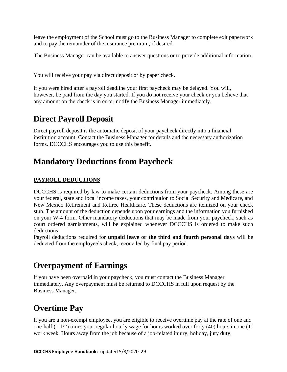leave the employment of the School must go to the Business Manager to complete exit paperwork and to pay the remainder of the insurance premium, if desired.

The Business Manager can be available to answer questions or to provide additional information.

You will receive your pay via direct deposit or by paper check.

If you were hired after a payroll deadline your first paycheck may be delayed. You will, however, be paid from the day you started. If you do not receive your check or you believe that any amount on the check is in error, notify the Business Manager immediately.

### <span id="page-28-0"></span>**Direct Payroll Deposit**

Direct payroll deposit is the automatic deposit of your paycheck directly into a financial institution account. Contact the Business Manager for details and the necessary authorization forms. DCCCHS encourages you to use this benefit.

### <span id="page-28-1"></span>**Mandatory Deductions from Paycheck**

#### **PAYROLL DEDUCTIONS**

DCCCHS is required by law to make certain deductions from your paycheck. Among these are your federal, state and local income taxes, your contribution to Social Security and Medicare, and New Mexico Retirement and Retiree Healthcare. These deductions are itemized on your check stub. The amount of the deduction depends upon your earnings and the information you furnished on your W-4 form. Other mandatory deductions that may be made from your paycheck, such as court ordered garnishments, will be explained whenever DCCCHS is ordered to make such deductions.

<span id="page-28-2"></span>Payroll deductions required for **unpaid leave or the third and fourth personal days** will be deducted from the employee's check, reconciled by final pay period.

### **Overpayment of Earnings**

If you have been overpaid in your paycheck, you must contact the Business Manager immediately. Any overpayment must be returned to DCCCHS in full upon request by the Business Manager.

### <span id="page-28-3"></span>**Overtime Pay**

If you are a non-exempt employee, you are eligible to receive overtime pay at the rate of one and one-half (1 1/2) times your regular hourly wage for hours worked over forty (40) hours in one (1) work week. Hours away from the job because of a job-related injury, holiday, jury duty,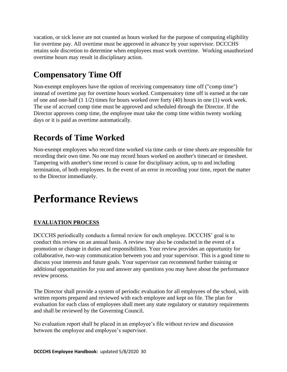vacation, or sick leave are not counted as hours worked for the purpose of computing eligibility for overtime pay. All overtime must be approved in advance by your supervisor. DCCCHS retains sole discretion to determine when employees must work overtime. Working unauthorized overtime hours may result in disciplinary action.

### <span id="page-29-0"></span>**Compensatory Time Off**

Non-exempt employees have the option of receiving compensatory time off ("comp time") instead of overtime pay for overtime hours worked. Compensatory time off is earned at the rate of one and one-half (1 1/2) times for hours worked over forty (40) hours in one (1) work week. The use of accrued comp time must be approved and scheduled through the Director. If the Director approves comp time, the employee must take the comp time within twenty working days or it is paid as overtime automatically.

### <span id="page-29-1"></span>**Records of Time Worked**

Non-exempt employees who record time worked via time cards or time sheets are responsible for recording their own time. No one may record hours worked on another's timecard or timesheet. Tampering with another's time record is cause for disciplinary action, up to and including termination, of both employees. In the event of an error in recording your time, report the matter to the Director immediately.

# <span id="page-29-2"></span>**Performance Reviews**

#### **EVALUATION PROCESS**

DCCCHS periodically conducts a formal review for each employee. DCCCHS' goal is to conduct this review on an annual basis. A review may also be conducted in the event of a promotion or change in duties and responsibilities. Your review provides an opportunity for collaborative, two-way communication between you and your supervisor. This is a good time to discuss your interests and future goals. Your supervisor can recommend further training or additional opportunities for you and answer any questions you may have about the performance review process.

The Director shall provide a system of periodic evaluation for all employees of the school, with written reports prepared and reviewed with each employee and kept on file. The plan for evaluation for each class of employees shall meet any state regulatory or statutory requirements and shall be reviewed by the Governing Council.

No evaluation report shall be placed in an employee's file without review and discussion between the employee and employee's supervisor.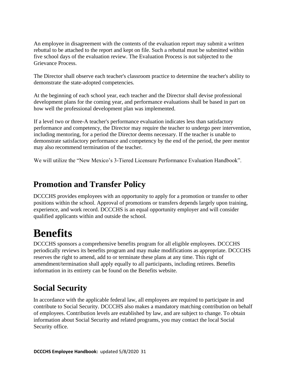An employee in disagreement with the contents of the evaluation report may submit a written rebuttal to be attached to the report and kept on file. Such a rebuttal must be submitted within five school days of the evaluation review. The Evaluation Process is not subjected to the Grievance Process.

The Director shall observe each teacher's classroom practice to determine the teacher's ability to demonstrate the state-adopted competencies.

At the beginning of each school year, each teacher and the Director shall devise professional development plans for the coming year, and performance evaluations shall be based in part on how well the professional development plan was implemented.

If a level two or three-A teacher's performance evaluation indicates less than satisfactory performance and competency, the Director may require the teacher to undergo peer intervention, including mentoring, for a period the Director deems necessary. If the teacher is unable to demonstrate satisfactory performance and competency by the end of the period, the peer mentor may also recommend termination of the teacher.

We will utilize the "New Mexico's 3-Tiered Licensure Performance Evaluation Handbook".

### <span id="page-30-0"></span>**Promotion and Transfer Policy**

DCCCHS provides employees with an opportunity to apply for a promotion or transfer to other positions within the school. Approval of promotions or transfers depends largely upon training, experience, and work record. DCCCHS is an equal opportunity employer and will consider qualified applicants within and outside the school.

# <span id="page-30-1"></span>**Benefits**

DCCCHS sponsors a comprehensive benefits program for all eligible employees. DCCCHS periodically reviews its benefits program and may make modifications as appropriate. DCCCHS reserves the right to amend, add to or terminate these plans at any time. This right of amendment/termination shall apply equally to all participants, including retirees. Benefits information in its entirety can be found on the Benefits website.

### <span id="page-30-2"></span>**Social Security**

In accordance with the applicable federal law, all employees are required to participate in and contribute to Social Security. DCCCHS also makes a mandatory matching contribution on behalf of employees. Contribution levels are established by law, and are subject to change. To obtain information about Social Security and related programs, you may contact the local Social Security office.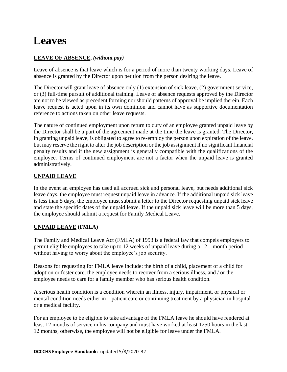# <span id="page-31-0"></span>**Leaves**

#### **LEAVE OF ABSENCE,** *(without pay)*

Leave of absence is that leave which is for a period of more than twenty working days. Leave of absence is granted by the Director upon petition from the person desiring the leave.

The Director will grant leave of absence only (1) extension of sick leave, (2) government service, or (3) full-time pursuit of additional training. Leave of absence requests approved by the Director are not to be viewed as precedent forming nor should patterns of approval be implied therein. Each leave request is acted upon in its own dominion and cannot have as supportive documentation reference to actions taken on other leave requests.

The nature of continued employment upon return to duty of an employee granted unpaid leave by the Director shall be a part of the agreement made at the time the leave is granted. The Director, in granting unpaid leave, is obligated to agree to re-employ the person upon expiration of the leave, but may reserve the right to alter the job description or the job assignment if no significant financial penalty results and if the new assignment is generally compatible with the qualifications of the employee. Terms of continued employment are not a factor when the unpaid leave is granted administratively.

#### **UNPAID LEAVE**

In the event an employee has used all accrued sick and personal leave, but needs additional sick leave days, the employee must request unpaid leave in advance. If the additional unpaid sick leave is less than 5 days, the employee must submit a letter to the Director requesting unpaid sick leave and state the specific dates of the unpaid leave. If the unpaid sick leave will be more than 5 days, the employee should submit a request for Family Medical Leave.

#### **UNPAID LEAVE (FMLA)**

The Family and Medical Leave Act (FMLA) of 1993 is a federal law that compels employers to permit eligible employees to take up to 12 weeks of unpaid leave during a 12 – month period without having to worry about the employee's job security.

Reasons for requesting for FMLA leave include: the birth of a child, placement of a child for adoption or foster care, the employee needs to recover from a serious illness, and / or the employee needs to care for a family member who has serious health condition.

A serious health condition is a condition wherein an illness, injury, impairment, or physical or mental condition needs either in – patient care or continuing treatment by a physician in hospital or a medical facility.

For an employee to be eligible to take advantage of the FMLA leave he should have rendered at least 12 months of service in his company and must have worked at least 1250 hours in the last 12 months, otherwise, the employee will not be eligible for leave under the FMLA.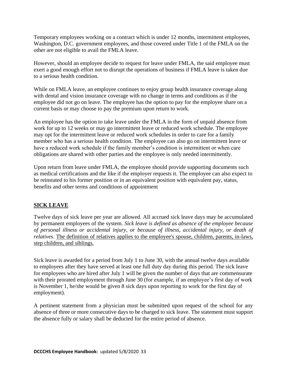Temporary employees working on a contract which is under 12 months, intermittent employees, Washington, D.C. government employees, and those covered under Title 1 of the FMLA on the other are not eligible to avail the FMLA leave.

However, should an employee decide to request for leave under FMLA, the said employee must exert a good enough effort not to disrupt the operations of business if FMLA leave is taken due to a serious health condition.

While on FMLA leave, an employee continues to enjoy group health insurance coverage along with dental and vision insurance coverage with no change in terms and conditions as if the employee did not go on leave. The employee has the option to pay for the employee share on a current basis or may choose to pay the premium upon return to work.

An employee has the option to take leave under the FMLA in the form of unpaid absence from work for up to 12 weeks or may go intermittent leave or reduced work schedule. The employee may opt for the intermittent leave or reduced work schedules in order to care for a family member who has a serious health condition. The employee can also go on intermittent leave or have a reduced work schedule if the family member's condition is intermittent or when care obligations are shared with other parties and the employee is only needed intermittently.

Upon return from leave under FMLA, the employee should provide supporting documents such as medical certifications and the like if the employer requests it. The employee can also expect to be reinstated to his former position or in an equivalent position with equivalent pay, status, benefits and other terms and conditions of appointment

#### **SICK LEAVE**

Twelve days of sick leave per year are allowed. All accrued sick leave days may be accumulated by permanent employees of the system. *Sick leave is defined as absence of the employee because of personal illness or accidental injury, or because of illness, accidental injury,* o*r death of relatives*. The definition of relatives applies to the employee's spouse, children, parents, in-laws, step children, and siblings.

Sick leave is awarded for a period from July 1 to June 30, with the annual twelve days available to employees after they have served at least one full duty day during this period. The sick leave for employees who are hired after July 1 will be given the number of days that are commensurate with their prorated employment through June 30 (for example, if an employee's first day of work is November 1, he/she would be given 8 sick days upon reporting to work for the first day of employment).

A pertinent statement from a physician must be submitted upon request of the school for any absence of three or more consecutive days to be charged to sick leave. The statement must support the absence fully or salary shall be deducted for the entire period of absence.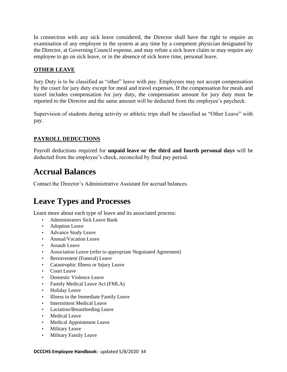In connection with any sick leave considered, the Director shall have the right to require an examination of any employee in the system at any time by a competent physician designated by the Director, at Governing Council expense, and may refute a sick leave claim or may require any employee to go on sick leave, or in the absence of sick leave time, personal leave.

#### **OTHER LEAVE**

Jury Duty is to be classified as "other" leave with pay. Employees may not accept compensation by the court for jury duty except for meal and travel expenses. If the compensation for meals and travel includes compensation for jury duty, the compensation amount for jury duty must be reported to the Director and the same amount will be deducted from the employee's paycheck.

Supervision of students during activity or athletic trips shall be classified as "Other Leave" with pay.

#### **PAYROLL DEDUCTIONS**

Payroll deductions required for **unpaid leave or the third and fourth personal days** will be deducted from the employee's check, reconciled by final pay period.

### <span id="page-33-0"></span>**Accrual Balances**

Contact the Director's Administrative Assistant for accrual balances.

### <span id="page-33-1"></span>**Leave Types and Processes**

Learn more about each type of leave and its associated process:

- [Administrators Sick Leave Bank](http://www.aps.edu/human-resources/extended-leaves-and-sick-leave-bank/extended-leaves-and-sick-leave-bank221a/administrators-sick-leave-bank)
- Adoption Leave
- Advance Study Leave
- Annual/Vacation Leave
- Assault Leave
- Association Leave (refer to appropriate Negotiated Agreement)
- Bereavement (Funeral) Leave
- Catastrophic Illness or Injury Leave
- Court Leave
- Domestic Violence Leave
- Family Medical Leave Act (FMLA)
- Holiday Leave
- Illness in the Immediate Family Leave
- Intermittent Medical Leave
- [Lactation/Breastfeeding Leave](https://www.aps.edu/human-resources/extended-leaves-and-sick-leave-bank/lactation-breastfeeding)
- [Medical L](http://www.aps.edu/human-resources/extended-leaves-and-sick-leave-bank/medical-leave)eave
- [Medical Appointment Leave](http://www.aps.edu/human-resources/extended-leaves-and-sick-leave-bank/medical-appointment-leave)
- Military Leave
- Military Family Leave

**DCCCHS Employee Handbook:** updated 5/8/2020 34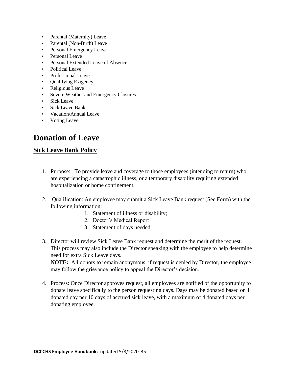- Parental (Maternity) Leave
- Parental (Non-Birth) Leave
- Personal Emergency Leave
- Personal Leave
- Personal Extended Leave of Absence
- Political Leave
- Professional Leave
- **Qualifying Exigency**
- Religious Leave
- Severe Weather and Emergency Closures
- Sick Leave
- Sick Leave Bank
- Vacation/Annual Leave
- Voting Leave

### <span id="page-34-0"></span>**Donation of Leave**

#### **Sick Leave Bank Policy**

- 1. Purpose: To provide leave and coverage to those employees (intending to return) who are experiencing a catastrophic illness, or a temporary disability requiring extended hospitalization or home confinement.
- 2. Qualification: An employee may submit a Sick Leave Bank request (See Form) with the following information:
	- 1. Statement of illness or disability;
	- 2. Doctor's Medical Report
	- 3. Statement of days needed
- 3. Director will review Sick Leave Bank request and determine the merit of the request. This process may also include the Director speaking with the employee to help determine need for extra Sick Leave days.

**NOTE:** All donors to remain anonymous; if request is denied by Director, the employee may follow the grievance policy to appeal the Director's decision.

4. Process: Once Director approves request, all employees are notified of the opportunity to donate leave specifically to the person requesting days. Days may be donated based on 1 donated day per 10 days of accrued sick leave, with a maximum of 4 donated days per donating employee.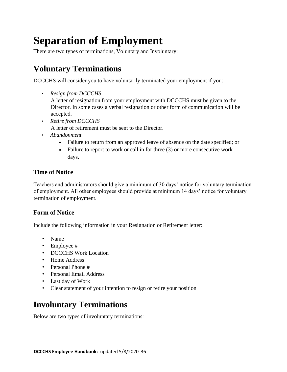# <span id="page-35-0"></span>**Separation of Employment**

There are two types of terminations, Voluntary and Involuntary:

### <span id="page-35-1"></span>**Voluntary Terminations**

DCCCHS will consider you to have voluntarily terminated your employment if you:

• *Resign from DCCCHS*

A letter of resignation from your employment with DCCCHS must be given to the Director. In some cases a verbal resignation or other form of communication will be accepted.

• *Retire from DCCCHS*

A letter of retirement must be sent to the Director.

- *Abandonment*
	- Failure to return from an approved leave of absence on the date specified; or
	- Failure to report to work or call in for three (3) or more consecutive work days.

#### <span id="page-35-2"></span>**Time of Notice**

Teachers and administrators should give a minimum of 30 days' notice for voluntary termination of employment. All other employees should provide at minimum 14 days' notice for voluntary termination of employment.

#### <span id="page-35-3"></span>**Form of Notice**

Include the following information in your Resignation or Retirement letter:

- Name
- Employee #
- DCCCHS Work Location
- Home Address
- Personal Phone #
- Personal Email Address
- Last day of Work
- Clear statement of your intention to resign or retire your position

### <span id="page-35-4"></span>**Involuntary Terminations**

Below are two types of involuntary terminations: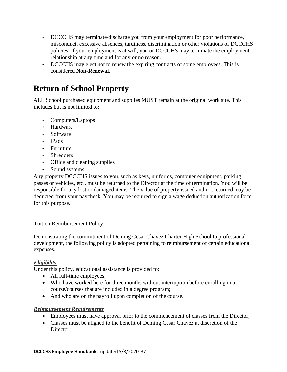- DCCCHS may terminate/discharge you from your employment for poor performance, misconduct, excessive absences, tardiness, discrimination or other violations of DCCCHS policies. If your employment is at will, you or DCCCHS may terminate the employment relationship at any time and for any or no reason.
- DCCCHS may elect not to renew the expiring contracts of some employees. This is considered **Non-Renewal.**

### <span id="page-36-0"></span>**Return of School Property**

ALL School purchased equipment and supplies MUST remain at the original work site. This includes but is not limited to:

- Computers/Laptops
- Hardware
- Software
- iPads
- Furniture
- Shredders
- Office and cleaning supplies
- Sound systems

Any property DCCCHS issues to you, such as keys, uniforms, computer equipment, parking passes or vehicles, etc., must be returned to the Director at the time of termination. You will be responsible for any lost or damaged items. The value of property issued and not returned may be deducted from your paycheck. You may be required to sign a wage deduction authorization form for this purpose.

Tuition Reimbursement Policy

Demonstrating the commitment of Deming Cesar Chavez Charter High School to professional development, the following policy is adopted pertaining to reimbursement of certain educational expenses.

#### *Eligibility*

Under this policy, educational assistance is provided to:

- All full-time employees;
- Who have worked here for three months without interruption before enrolling in a course/courses that are included in a degree program;
- And who are on the payroll upon completion of the course.

#### *Reimbursement Requirements*

- Employees must have approval prior to the commencement of classes from the Director;
- Classes must be aligned to the benefit of Deming Cesar Chavez at discretion of the Director;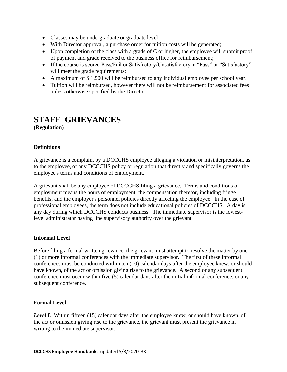- Classes may be undergraduate or graduate level;
- With Director approval, a purchase order for tuition costs will be generated;
- Upon completion of the class with a grade of C or higher, the employee will submit proof of payment and grade received to the business office for reimbursement;
- If the course is scored Pass/Fail or Satisfactory/Unsatisfactory, a "Pass" or "Satisfactory" will meet the grade requirements;
- A maximum of \$ 1,500 will be reimbursed to any individual employee per school year.
- Tuition will be reimbursed, however there will not be reimbursement for associated fees unless otherwise specified by the Director.

**(Regulation)**

#### **Definitions**

A grievance is a complaint by a DCCCHS employee alleging a violation or misinterpretation, as to the employee, of any DCCCHS policy or regulation that directly and specifically governs the employee's terms and conditions of employment.

A grievant shall be any employee of DCCCHS filing a grievance. Terms and conditions of employment means the hours of employment, the compensation therefor, including fringe benefits, and the employer's personnel policies directly affecting the employee. In the case of professional employees, the term does not include educational policies of DCCCHS. A day is any day during which DCCCHS conducts business. The immediate supervisor is the lowestlevel administrator having line supervisory authority over the grievant.

#### **Informal Level**

Before filing a formal written grievance, the grievant must attempt to resolve the matter by one (1) or more informal conferences with the immediate supervisor. The first of these informal conferences must be conducted within ten (10) calendar days after the employee knew, or should have known, of the act or omission giving rise to the grievance. A second or any subsequent conference must occur within five (5) calendar days after the initial informal conference, or any subsequent conference.

#### **Formal Level**

*Level I.* Within fifteen (15) calendar days after the employee knew, or should have known, of the act or omission giving rise to the grievance, the grievant must present the grievance in writing to the immediate supervisor.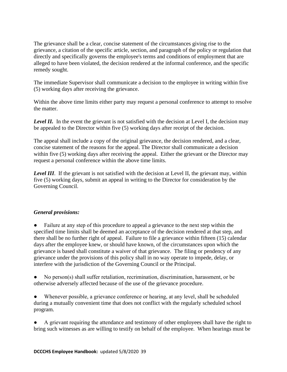The grievance shall be a clear, concise statement of the circumstances giving rise to the grievance, a citation of the specific article, section, and paragraph of the policy or regulation that directly and specifically governs the employee's terms and conditions of employment that are alleged to have been violated, the decision rendered at the informal conference, and the specific remedy sought.

The immediate Supervisor shall communicate a decision to the employee in writing within five (5) working days after receiving the grievance.

Within the above time limits either party may request a personal conference to attempt to resolve the matter.

**Level II.** In the event the grievant is not satisfied with the decision at Level I, the decision may be appealed to the Director within five (5) working days after receipt of the decision.

The appeal shall include a copy of the original grievance, the decision rendered, and a clear, concise statement of the reasons for the appeal. The Director shall communicate a decision within five (5) working days after receiving the appeal. Either the grievant or the Director may request a personal conference within the above time limits.

*Level III*. If the grievant is not satisfied with the decision at Level II, the grievant may, within five (5) working days, submit an appeal in writing to the Director for consideration by the Governing Council.

#### *General provisions:*

Failure at any step of this procedure to appeal a grievance to the next step within the specified time limits shall be deemed an acceptance of the decision rendered at that step, and there shall be no further right of appeal. Failure to file a grievance within fifteen (15) calendar days after the employee knew, or should have known, of the circumstances upon which the grievance is based shall constitute a waiver of that grievance. The filing or pendency of any grievance under the provisions of this policy shall in no way operate to impede, delay, or interfere with the jurisdiction of the Governing Council or the Principal.

No person(s) shall suffer retaliation, recrimination, discrimination, harassment, or be otherwise adversely affected because of the use of the grievance procedure.

Whenever possible, a grievance conference or hearing, at any level, shall be scheduled during a mutually convenient time that does not conflict with the regularly scheduled school program.

A grievant requiring the attendance and testimony of other employees shall have the right to bring such witnesses as are willing to testify on behalf of the employee. When hearings must be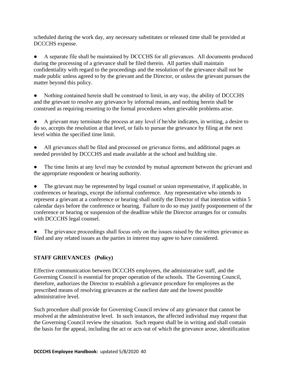scheduled during the work day, any necessary substitutes or released time shall be provided at DCCCHS expense.

A separate file shall be maintained by DCCCHS for all grievances. All documents produced during the processing of a grievance shall be filed therein. All parties shall maintain confidentiality with regard to the proceedings and the resolution of the grievance shall not be made public unless agreed to by the grievant and the Director, or unless the grievant pursues the matter beyond this policy.

Nothing contained herein shall be construed to limit, in any way, the ability of DCCCHS and the grievant to resolve any grievance by informal means, and nothing herein shall be construed as requiring resorting to the formal procedures when grievable problems arise.

A grievant may terminate the process at any level if he/she indicates, in writing, a desire to do so, accepts the resolution at that level, or fails to pursue the grievance by filing at the next level within the specified time limit.

All grievances shall be filed and processed on grievance forms, and additional pages as needed provided by DCCCHS and made available at the school and building site.

The time limits at any level may be extended by mutual agreement between the grievant and the appropriate respondent or hearing authority.

• The grievant may be represented by legal counsel or union representative, if applicable, in conferences or hearings, except the informal conference. Any representative who intends to represent a grievant at a conference or hearing shall notify the Director of that intention within 5 calendar days before the conference or hearing. Failure to do so may justify postponement of the conference or hearing or suspension of the deadline while the Director arranges for or consults with DCCCHS legal counsel.

The grievance proceedings shall focus only on the issues raised by the written grievance as filed and any related issues as the parties in interest may agree to have considered.

#### **STAFF GRIEVANCES (Policy)**

Effective communication between DCCCHS employees, the administrative staff, and the Governing Council is essential for proper operation of the schools. The Governing Council, therefore, authorizes the Director to establish a grievance procedure for employees as the prescribed means of resolving grievances at the earliest date and the lowest possible administrative level.

Such procedure shall provide for Governing Council review of any grievance that cannot be resolved at the administrative level. In such instances, the affected individual may request that the Governing Council review the situation. Such request shall be in writing and shall contain the basis for the appeal, including the act or acts out of which the grievance arose, identification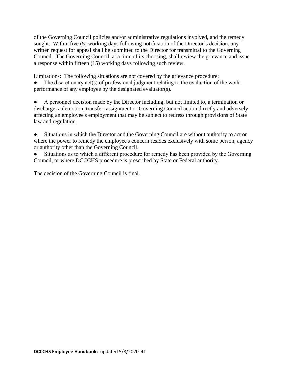of the Governing Council policies and/or administrative regulations involved, and the remedy sought. Within five (5) working days following notification of the Director's decision, any written request for appeal shall be submitted to the Director for transmittal to the Governing Council. The Governing Council, at a time of its choosing, shall review the grievance and issue a response within fifteen (15) working days following such review.

Limitations: The following situations are not covered by the grievance procedure:

The discretionary  $act(s)$  of professional judgment relating to the evaluation of the work performance of any employee by the designated evaluator(s).

A personnel decision made by the Director including, but not limited to, a termination or discharge, a demotion, transfer, assignment or Governing Council action directly and adversely affecting an employee's employment that may be subject to redress through provisions of State law and regulation.

Situations in which the Director and the Governing Council are without authority to act or where the power to remedy the employee's concern resides exclusively with some person, agency or authority other than the Governing Council.

Situations as to which a different procedure for remedy has been provided by the Governing Council, or where DCCCHS procedure is prescribed by State or Federal authority.

The decision of the Governing Council is final.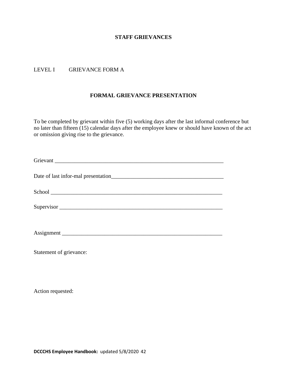#### LEVEL I GRIEVANCE FORM A

#### **FORMAL GRIEVANCE PRESENTATION**

To be completed by grievant within five (5) working days after the last informal conference but no later than fifteen (15) calendar days after the employee knew or should have known of the act or omission giving rise to the grievance.

| Grievant                |
|-------------------------|
|                         |
|                         |
| Supervisor              |
|                         |
| Statement of grievance: |

Action requested: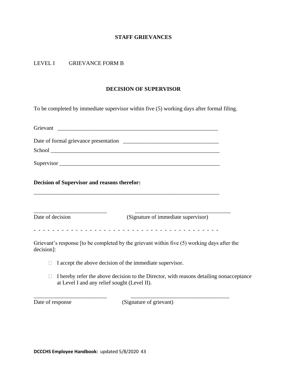#### LEVEL I GRIEVANCE FORM B

#### **DECISION OF SUPERVISOR**

To be completed by immediate supervisor within five (5) working days after formal filing.

| <b>Decision of Supervisor and reasons therefor:</b> |                                                          |                                                                                             |  |  |
|-----------------------------------------------------|----------------------------------------------------------|---------------------------------------------------------------------------------------------|--|--|
| Date of decision                                    |                                                          | (Signature of immediate supervisor)                                                         |  |  |
| decision]:                                          |                                                          | Grievant's response [to be completed by the grievant within five (5) working days after the |  |  |
|                                                     | I accept the above decision of the immediate supervisor. |                                                                                             |  |  |
| П                                                   | at Level I and any relief sought (Level II).             | I hereby refer the above decision to the Director, with reasons detailing nonacceptance     |  |  |

Date of response (Signature of grievant)

\_\_\_\_\_\_\_\_\_\_\_\_\_\_\_\_\_\_\_\_\_\_\_\_\_\_ \_\_\_\_\_\_\_\_\_\_\_\_\_\_\_\_\_\_\_\_\_\_\_\_\_\_\_\_\_\_\_\_\_\_\_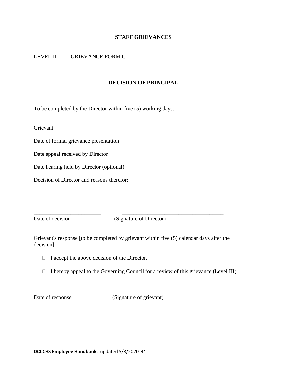#### LEVEL II GRIEVANCE FORM C

#### **DECISION OF PRINCIPAL**

To be completed by the Director within five (5) working days.

| Grievant                                                                                               |  |  |  |  |
|--------------------------------------------------------------------------------------------------------|--|--|--|--|
|                                                                                                        |  |  |  |  |
|                                                                                                        |  |  |  |  |
|                                                                                                        |  |  |  |  |
| Decision of Director and reasons therefor:                                                             |  |  |  |  |
|                                                                                                        |  |  |  |  |
|                                                                                                        |  |  |  |  |
| Date of decision<br>(Signature of Director)                                                            |  |  |  |  |
| Grievant's response [to be completed by grievant within five (5) calendar days after the<br>decision]: |  |  |  |  |

- $\Box$  I accept the above decision of the Director.
- $\Box$  I hereby appeal to the Governing Council for a review of this grievance (Level III).

Date of response (Signature of grievant)

\_\_\_\_\_\_\_\_\_\_\_\_\_\_\_\_\_\_\_\_\_\_\_\_ \_\_\_\_\_\_\_\_\_\_\_\_\_\_\_\_\_\_\_\_\_\_\_\_\_\_\_\_\_\_\_\_\_\_\_\_